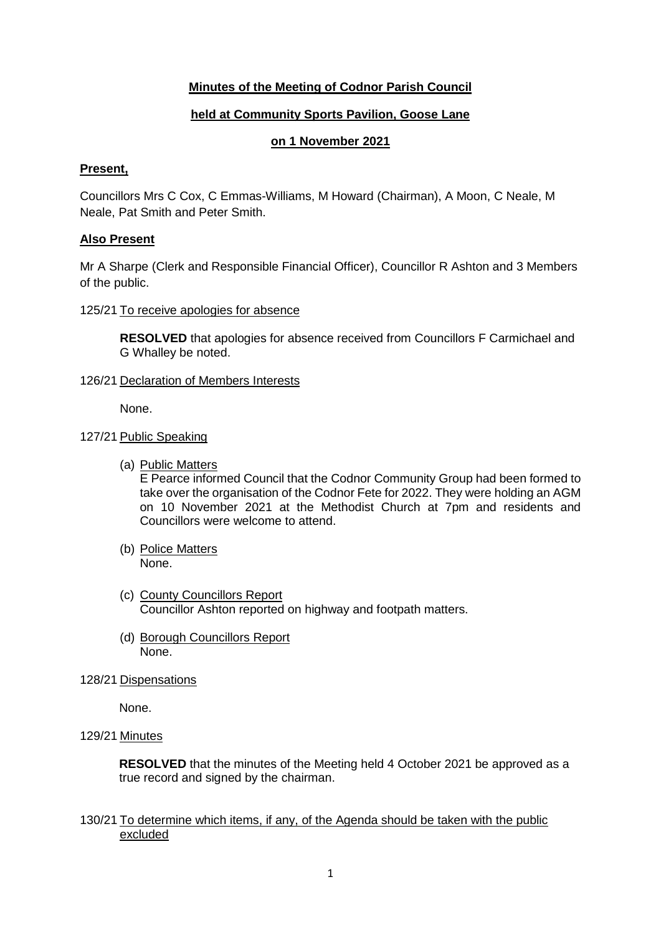## **Minutes of the Meeting of Codnor Parish Council**

#### **held at Community Sports Pavilion, Goose Lane**

#### **on 1 November 2021**

#### **Present,**

Councillors Mrs C Cox, C Emmas-Williams, M Howard (Chairman), A Moon, C Neale, M Neale, Pat Smith and Peter Smith.

#### **Also Present**

Mr A Sharpe (Clerk and Responsible Financial Officer), Councillor R Ashton and 3 Members of the public.

#### 125/21 To receive apologies for absence

**RESOLVED** that apologies for absence received from Councillors F Carmichael and G Whalley be noted.

#### 126/21 Declaration of Members Interests

None.

#### 127/21 Public Speaking

(a) Public Matters

E Pearce informed Council that the Codnor Community Group had been formed to take over the organisation of the Codnor Fete for 2022. They were holding an AGM on 10 November 2021 at the Methodist Church at 7pm and residents and Councillors were welcome to attend.

- (b) Police Matters None.
- (c) County Councillors Report Councillor Ashton reported on highway and footpath matters.
- (d) Borough Councillors Report None.
- 128/21 Dispensations

None.

## 129/21 Minutes

**RESOLVED** that the minutes of the Meeting held 4 October 2021 be approved as a true record and signed by the chairman.

## 130/21 To determine which items, if any, of the Agenda should be taken with the public excluded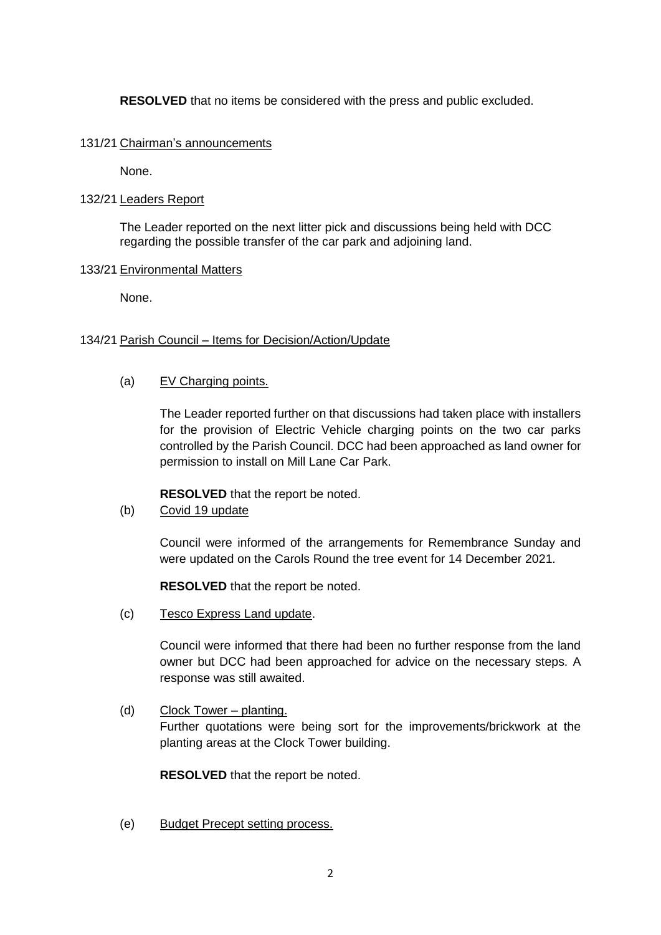**RESOLVED** that no items be considered with the press and public excluded.

#### 131/21 Chairman's announcements

None.

## 132/21 Leaders Report

The Leader reported on the next litter pick and discussions being held with DCC regarding the possible transfer of the car park and adjoining land.

## 133/21 Environmental Matters

None.

## 134/21 Parish Council – Items for Decision/Action/Update

## (a) EV Charging points.

The Leader reported further on that discussions had taken place with installers for the provision of Electric Vehicle charging points on the two car parks controlled by the Parish Council. DCC had been approached as land owner for permission to install on Mill Lane Car Park.

**RESOLVED** that the report be noted.

# (b) Covid 19 update

Council were informed of the arrangements for Remembrance Sunday and were updated on the Carols Round the tree event for 14 December 2021.

**RESOLVED** that the report be noted.

(c) Tesco Express Land update.

Council were informed that there had been no further response from the land owner but DCC had been approached for advice on the necessary steps. A response was still awaited.

(d) Clock Tower – planting.

Further quotations were being sort for the improvements/brickwork at the planting areas at the Clock Tower building.

**RESOLVED** that the report be noted.

(e) Budget Precept setting process.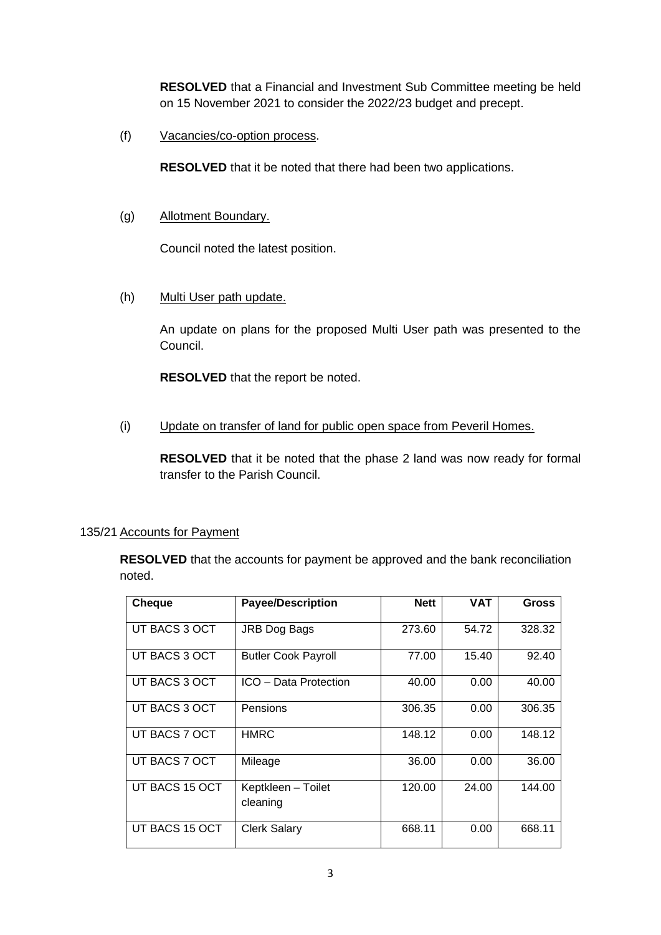**RESOLVED** that a Financial and Investment Sub Committee meeting be held on 15 November 2021 to consider the 2022/23 budget and precept.

(f) Vacancies/co-option process.

**RESOLVED** that it be noted that there had been two applications.

(g) Allotment Boundary.

Council noted the latest position.

(h) Multi User path update.

An update on plans for the proposed Multi User path was presented to the Council.

**RESOLVED** that the report be noted.

(i) Update on transfer of land for public open space from Peveril Homes.

**RESOLVED** that it be noted that the phase 2 land was now ready for formal transfer to the Parish Council.

# 135/21 Accounts for Payment

**RESOLVED** that the accounts for payment be approved and the bank reconciliation noted.

| <b>Cheque</b>  | <b>Payee/Description</b>       | <b>Nett</b> | <b>VAT</b> | <b>Gross</b> |
|----------------|--------------------------------|-------------|------------|--------------|
| UT BACS 3 OCT  | JRB Dog Bags                   | 273.60      | 54.72      | 328.32       |
| UT BACS 3 OCT  | <b>Butler Cook Payroll</b>     | 77.00       | 15.40      | 92.40        |
| UT BACS 3 OCT  | ICO - Data Protection          | 40.00       | 0.00       | 40.00        |
| UT BACS 3 OCT  | Pensions                       | 306.35      | 0.00       | 306.35       |
| UT BACS 7 OCT  | <b>HMRC</b>                    | 148.12      | 0.00       | 148.12       |
| UT BACS 7 OCT  | Mileage                        | 36.00       | 0.00       | 36.00        |
| UT BACS 15 OCT | Keptkleen - Toilet<br>cleaning | 120.00      | 24.00      | 144.00       |
| UT BACS 15 OCT | <b>Clerk Salary</b>            | 668.11      | 0.00       | 668.11       |